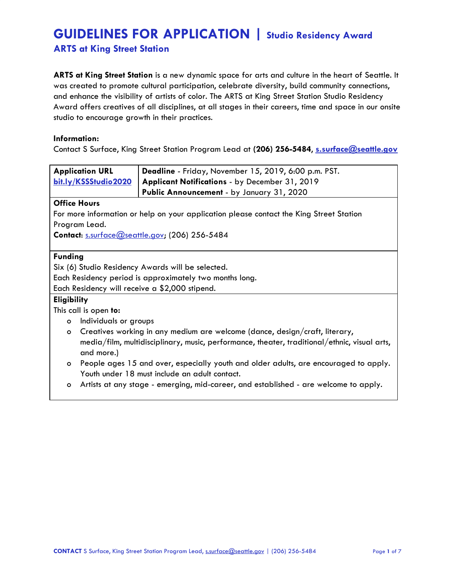**ARTS at King Street Station**

**ARTS at King Street Station** is a new dynamic space for arts and culture in the heart of Seattle. It was created to promote cultural participation, celebrate diversity, build community connections, and enhance the visibility of artists of color. The ARTS at King Street Station Studio Residency Award offers creatives of all disciplines, at all stages in their careers, time and space in our onsite studio to encourage growth in their practices.

#### **Information:**

Contact S Surface, King Street Station Program Lead at **(206) 256-5484**, **[s.surface@seattle.gov](mailto:s.surface@seattle.gov)**

| <b>Application URL</b>                                                                  | Deadline - Friday, November 15, 2019, 6:00 p.m. PST.                                         |
|-----------------------------------------------------------------------------------------|----------------------------------------------------------------------------------------------|
| bit.ly/KSSStudio2020                                                                    | Applicant Notifications - by December 31, 2019                                               |
|                                                                                         | Public Announcement - by January 31, 2020                                                    |
| <b>Office Hours</b>                                                                     |                                                                                              |
| For more information or help on your application please contact the King Street Station |                                                                                              |
| Program Lead.                                                                           |                                                                                              |
| Contact: s.surface@seattle.gov; (206) 256-5484                                          |                                                                                              |
|                                                                                         |                                                                                              |
| <b>Funding</b>                                                                          |                                                                                              |
| Six (6) Studio Residency Awards will be selected.                                       |                                                                                              |
| Each Residency period is approximately two months long.                                 |                                                                                              |
| Each Residency will receive a \$2,000 stipend.                                          |                                                                                              |
| <b>Eligibility</b>                                                                      |                                                                                              |
| This call is open to:                                                                   |                                                                                              |
| Individuals or groups<br>$\circ$                                                        |                                                                                              |
| $\circ$                                                                                 | Creatives working in any medium are welcome (dance, design/craft, literary,                  |
|                                                                                         | media/film, multidisciplinary, music, performance, theater, traditional/ethnic, visual arts, |
| and more.)                                                                              |                                                                                              |
| $\circ$                                                                                 | People ages 15 and over, especially youth and older adults, are encouraged to apply.         |
|                                                                                         | Youth under 18 must include an adult contact.                                                |
| $\circ$                                                                                 | Artists at any stage - emerging, mid-career, and established - are welcome to apply.         |
|                                                                                         |                                                                                              |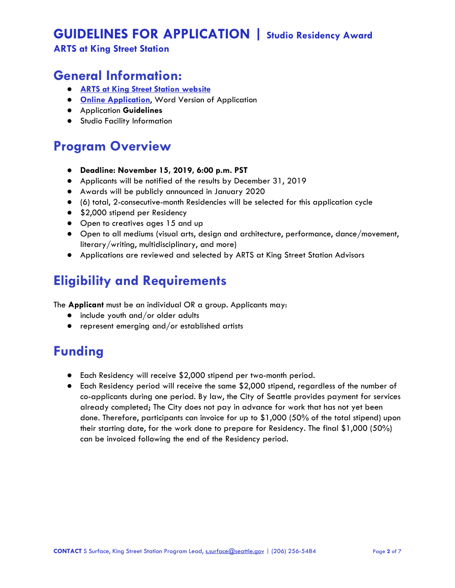### **ARTS at King Street Station**

## **General Information:**

- **● [ARTS at King Street Station website](https://www.seattle.gov/arts/programs/arts-at-king-street-station)**
- **● [Online Application](http://bit.ly/KSSStudio2020)**, Word Version of Application
- **●** Application **Guidelines**
- **●** Studio Facility Information

# **Program Overview**

- **● Deadline: November 15, 2019, 6:00 p.m. PST**
- Applicants will be notified of the results by December 31, 2019
- Awards will be publicly announced in January 2020
- (6) total, 2-consecutive-month Residencies will be selected for this application cycle
- \$2,000 stipend per Residency
- Open to creatives ages 15 and up
- Open to all mediums (visual arts, design and architecture, performance, dance/movement, literary/writing, multidisciplinary, and more)
- Applications are reviewed and selected by ARTS at King Street Station Advisors

# **Eligibility and Requirements**

The **Applicant** must be an individual OR a group. Applicants may:

- include youth and/or older adults
- represent emerging and/or established artists

# **Funding**

- Each Residency will receive \$2,000 stipend per two-month period.
- Each Residency period will receive the same \$2,000 stipend, regardless of the number of co-applicants during one period. By law, the City of Seattle provides payment for services already completed; The City does not pay in advance for work that has not yet been done. Therefore, participants can invoice for up to \$1,000 (50% of the total stipend) upon their starting date, for the work done to prepare for Residency. The final \$1,000 (50%) can be invoiced following the end of the Residency period.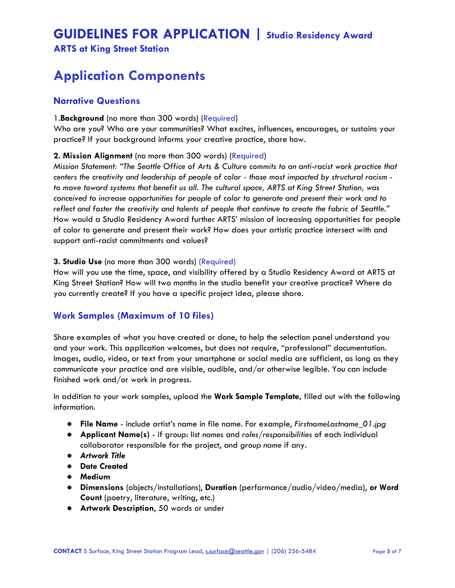### **ARTS at King Street Station**

# **Application Components**

### **Narrative Questions**

#### 1.**Background** (no more than 300 words) (Required)

Who are you? Who are your communities? What excites, influences, encourages, or sustains your practice? If your background informs your creative practice, share how.

#### **2. Mission Alignment** (no more than 300 words) (Required)

*Mission Statement: "The Seattle Office of Arts & Culture commits to an anti-racist work practice that centers the creativity and leadership of people of color - those most impacted by structural racism to move toward systems that benefit us all. The cultural space, ARTS at King Street Station, was conceived to increase opportunities for people of color to generate and present their work and to reflect and foster the creativity and talents of people that continue to create the fabric of Seattle."* How would a Studio Residency Award further ARTS' mission of increasing opportunities for people of color to generate and present their work? How does your artistic practice intersect with and support anti-racist commitments and values?

#### **3. Studio Use** (no more than 300 words) (Required)

How will you use the time, space, and visibility offered by a Studio Residency Award at ARTS at King Street Station? How will two months in the studio benefit your creative practice? Where do you currently create? If you have a specific project idea, please share.

### **Work Samples (Maximum of 10 files)**

Share examples of what you have created or done, to help the selection panel understand you and your work. This application welcomes, but does not require, "professional" documentation. Images, audio, video, or text from your smartphone or social media are sufficient, as long as they communicate your practice and are visible, audible, and/or otherwise legible. You can include finished work and/or work in progress.

In addition to your work samples, upload the **Work Sample Template,** filled out with the following information.

- **File Name** include artist's name in file name. For example, *FirstnameLastname\_01.jpg*
- **Applicant Name(s)** if group: list *names* and *roles/responsibilities* of each individual collaborator responsible for the project, and *group name* if any.
- *● Artwork Title*
- **● Date Created**
- **● Medium**
- **Dimensions** (objects/installations), **Duration** (performance/audio/video/media), **or Word Count** (poetry, literature, writing, etc.)
- **Artwork Description**, 50 words or under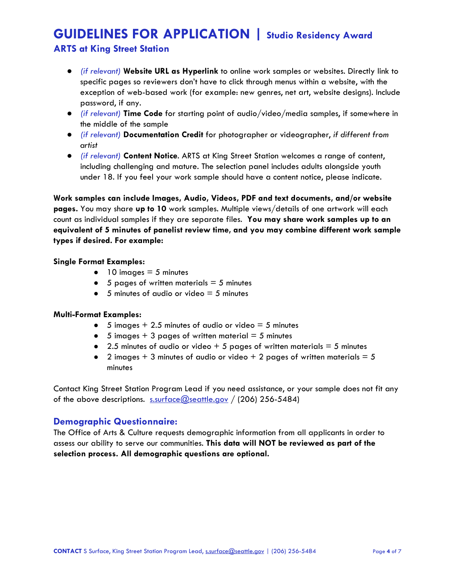### **ARTS at King Street Station**

- *(if relevant)* **Website URL as Hyperlink** to online work samples or websites. Directly link to specific pages so reviewers don't have to click through menus within a website, with the exception of web-based work (for example: new genres, net art, website designs). Include password, if any.
- *(if relevant)* **Time Code** for starting point of audio/video/media samples, if somewhere in the middle of the sample
- *(if relevant)* **Documentation Credit** for photographer or videographer, *if different from artist*
- *(if relevant)* **Content Notice**. ARTS at King Street Station welcomes a range of content, including challenging and mature. The selection panel includes adults alongside youth under 18. If you feel your work sample should have a content notice, please indicate.

**Work samples can include Images, Audio, Videos, PDF and text documents, and/or website pages.** You may share **up to 10** work samples. Multiple views/details of one artwork will each count as individual samples if they are separate files. **You may share work samples up to an equivalent of 5 minutes of panelist review time, and you may combine different work sample types if desired. For example:**

#### **Single Format Examples:**

- $\bullet$  10 images = 5 minutes
- $\bullet$  5 pages of written materials  $=$  5 minutes
- $\bullet$  5 minutes of audio or video = 5 minutes

#### **Multi-Format Examples:**

- $\bullet$  5 images + 2.5 minutes of audio or video = 5 minutes
- $\bullet$  5 images + 3 pages of written material = 5 minutes
- 2.5 minutes of audio or video  $+5$  pages of written materials  $= 5$  minutes
- 2 images  $+3$  minutes of audio or video  $+2$  pages of written materials  $= 5$ minutes

Contact King Street Station Program Lead if you need assistance, or your sample does not fit any of the above descriptions.  $s.\text{surface}$  (200) 256-5484)

### **Demographic Questionnaire:**

The Office of Arts & Culture requests demographic information from all applicants in order to assess our ability to serve our communities. **This data will NOT be reviewed as part of the selection process. All demographic questions are optional.**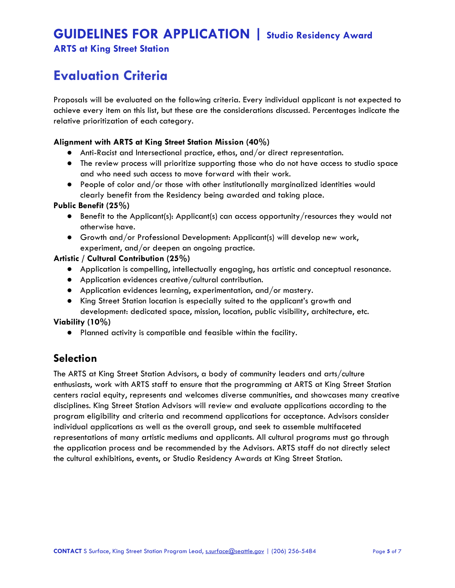**ARTS at King Street Station**

# **Evaluation Criteria**

Proposals will be evaluated on the following criteria. Every individual applicant is not expected to achieve every item on this list, but these are the considerations discussed. Percentages indicate the relative prioritization of each category.

#### **Alignment with ARTS at King Street Station Mission (40%)**

- Anti-Racist and Intersectional practice, ethos, and/or direct representation.
- The review process will prioritize supporting those who do not have access to studio space and who need such access to move forward with their work.
- People of color and/or those with other institutionally marginalized identities would clearly benefit from the Residency being awarded and taking place.

#### **Public Benefit (25%)**

- Benefit to the Applicant(s): Applicant(s) can access opportunity/resources they would not otherwise have.
- Growth and/or Professional Development: Applicant(s) will develop new work, experiment, and/or deepen an ongoing practice.

#### **Artistic / Cultural Contribution (25%)**

- Application is compelling, intellectually engaging, has artistic and conceptual resonance.
- Application evidences creative/cultural contribution.
- Application evidences learning, experimentation, and/or mastery.
- King Street Station location is especially suited to the applicant's growth and development: dedicated space, mission, location, public visibility, architecture, etc.

#### **Viability (10%)**

● Planned activity is compatible and feasible within the facility.

## **Selection**

The ARTS at King Street Station Advisors, a body of community leaders and arts/culture enthusiasts, work with ARTS staff to ensure that the programming at ARTS at King Street Station centers racial equity, represents and welcomes diverse communities, and showcases many creative disciplines. King Street Station Advisors will review and evaluate applications according to the program eligibility and criteria and recommend applications for acceptance. Advisors consider individual applications as well as the overall group, and seek to assemble multifaceted representations of many artistic mediums and applicants. All cultural programs must go through the application process and be recommended by the Advisors. ARTS staff do not directly select the cultural exhibitions, events, or Studio Residency Awards at King Street Station.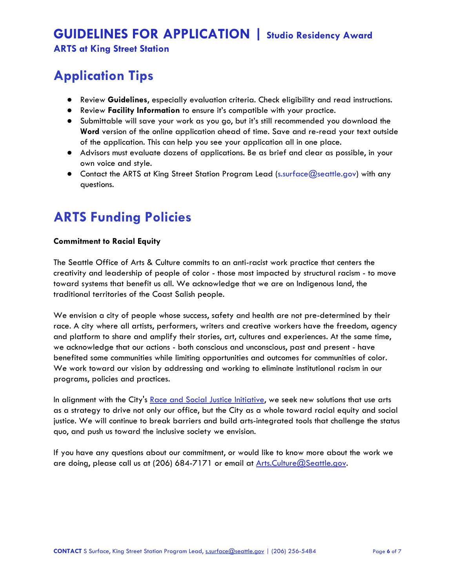**ARTS at King Street Station**

# **Application Tips**

- Review **Guidelines**, especially evaluation criteria. Check eligibility and read instructions.
- Review **[F](https://www.seattle.gov/Documents/Departments/Arts/Downloads/Calls/2019%20ARTS%20at%20KSS%20Portal%20GUIDELINES.pdf)acility Information** to ensure it's compatible with your practice.
- Submittable will save your work as you go, but it's still recommended you download the **Word** version of the online application ahead of time. Save and re-read your text outside of the application. This can help you see your application all in one place.
- Advisors must evaluate dozens of applications. Be as brief and clear as possible, in your own voice and style.
- Contact the ARTS at King Street Station Program Lead (s.surface@seattle.gov) with any questions.

# **ARTS Funding Policies**

#### **Commitment to Racial Equity**

The Seattle Office of Arts & Culture commits to an anti-racist work practice that centers the creativity and leadership of people of color - those most impacted by structural racism - to move toward systems that benefit us all. We acknowledge that we are on Indigenous land, the traditional territories of the Coast Salish people.

We envision a city of people whose success, safety and health are not pre-determined by their race. A city where all artists, performers, writers and creative workers have the freedom, agency and platform to share and amplify their stories, art, cultures and experiences. At the same time, we acknowledge that our actions - both conscious and unconscious, past and present - have benefited some communities while limiting opportunities and outcomes for communities of color. We work toward our vision by addressing and working to eliminate institutional racism in our programs, policies and practices.

In alignment with the City's [Race and Social Justice Initiative,](http://www.seattle.gov/rsji) we seek new solutions that use arts as a strategy to drive not only our office, but the City as a whole toward racial equity and social justice. We will continue to break barriers and build arts-integrated tools that challenge the status quo, and push us toward the inclusive society we envision.

If you have any questions about our commitment, or would like to know more about the work we are doing, please call us at (206) 684-7171 or email at [Arts.Culture@Seattle.gov.](mailto:Arts.Culture@Seattle.gov)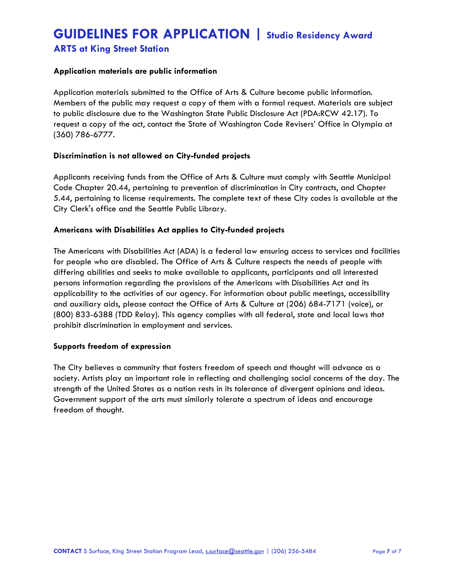### **ARTS at King Street Station**

#### **Application materials are public information**

Application materials submitted to the Office of Arts & Culture become public information. Members of the public may request a copy of them with a formal request. Materials are subject to public disclosure due to the Washington State Public Disclosure Act (PDA:RCW 42.17). To request a copy of the act, contact the State of Washington Code Revisers' Office in Olympia at (360) 786-6777.

#### **Discrimination is not allowed on City-funded projects**

Applicants receiving funds from the Office of Arts & Culture must comply with Seattle Municipal Code Chapter 20.44, pertaining to prevention of discrimination in City contracts, and Chapter 5.44, pertaining to license requirements. The complete text of these City codes is available at the City Clerk's office and the Seattle Public Library.

#### **Americans with Disabilities Act applies to City-funded projects**

The Americans with Disabilities Act (ADA) is a federal law ensuring access to services and facilities for people who are disabled. The Office of Arts & Culture respects the needs of people with differing abilities and seeks to make available to applicants, participants and all interested persons information regarding the provisions of the Americans with Disabilities Act and its applicability to the activities of our agency. For information about public meetings, accessibility and auxiliary aids, please contact the Office of Arts & Culture at (206) 684-7171 (voice), or (800) 833-6388 (TDD Relay). This agency complies with all federal, state and local laws that prohibit discrimination in employment and services.

#### **Supports freedom of expression**

The City believes a community that fosters freedom of speech and thought will advance as a society. Artists play an important role in reflecting and challenging social concerns of the day. The strength of the United States as a nation rests in its tolerance of divergent opinions and ideas. Government support of the arts must similarly tolerate a spectrum of ideas and encourage freedom of thought.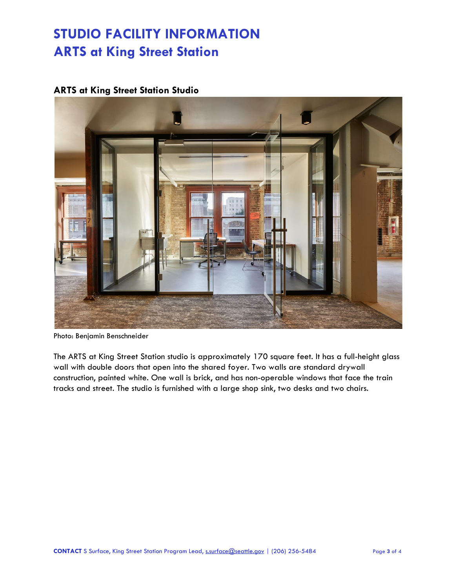## **ARTS at King Street Station Studio**



Photo: Benjamin Benschneider

The ARTS at King Street Station studio is approximately 170 square feet. It has a full-height glass wall with double doors that open into the shared foyer. Two walls are standard drywall construction, painted white. One wall is brick, and has non-operable windows that face the train tracks and street. The studio is furnished with a large shop sink, two desks and two chairs.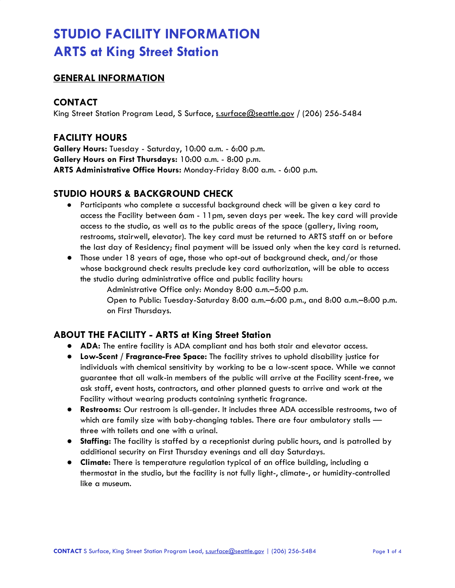### **GENERAL INFORMATION**

### **CONTACT**

King Street Station Program Lead, S Surface, [s.surface@seattle.gov](mailto:s.surface@seattle.gov) **/** (206) 256-5484

### **FACILITY HOURS**

**Gallery Hours:** Tuesday - Saturday, 10:00 a.m. - 6:00 p.m. **Gallery Hours on First Thursdays:** 10:00 a.m. - 8:00 p.m. **ARTS Administrative Office Hours:** Monday-Friday 8:00 a.m. - 6:00 p.m.

### **STUDIO HOURS & BACKGROUND CHECK**

- Participants who complete a successful background check will be given a key card to access the Facility between 6am - 11pm, seven days per week. The key card will provide access to the studio, as well as to the public areas of the space (gallery, living room, restrooms, stairwell, elevator). The key card must be returned to ARTS staff on or before the last day of Residency; final payment will be issued only when the key card is returned.
- Those under 18 years of age, those who opt-out of background check, and/or those whose background check results preclude key card authorization, will be able to access the studio during administrative office and public facility hours:

Administrative Office only: Monday 8:00 a.m.–5:00 p.m. Open to Public: Tuesday-Saturday 8:00 a.m.–6:00 p.m., and 8:00 a.m.–8:00 p.m. on First Thursdays.

### **ABOUT THE FACILITY - ARTS at King Street Station**

- **ADA:** The entire facility is ADA compliant and has both stair and elevator access.
- **Low-Scent / Fragrance-Free Space:** The facility strives to uphold disability justice for individuals with chemical sensitivity by working to be a low-scent space. While we cannot guarantee that all walk-in members of the public will arrive at the Facility scent-free, we ask staff, event hosts, contractors, and other planned guests to arrive and work at the Facility without wearing products containing synthetic fragrance.
- **Restrooms:** Our restroom is all-gender. It includes three ADA accessible restrooms, two of which are family size with baby-changing tables. There are four ambulatory stalls three with toilets and one with a urinal.
- **Staffing:** The facility is staffed by a receptionist during public hours, and is patrolled by additional security on First Thursday evenings and all day Saturdays.
- **Climate:** There is temperature regulation typical of an office building, including a thermostat in the studio, but the facility is not fully light-, climate-, or humidity-controlled like a museum.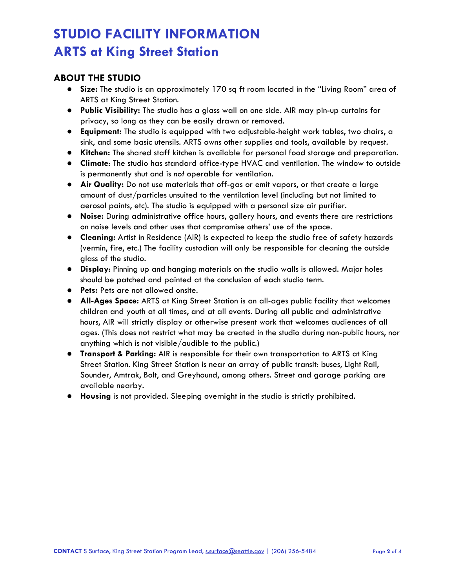## **ABOUT THE STUDIO**

- **Size:** The studio is an approximately 170 sq ft room located in the "Living Room" area of ARTS at King Street Station.
- **Public Visibility:** The studio has a glass wall on one side. AIR may pin-up curtains for privacy, so long as they can be easily drawn or removed.
- **Equipment:** The studio is equipped with two adjustable-height work tables, two chairs, a sink, and some basic utensils. ARTS owns other supplies and tools, available by request.
- **Kitchen:** The shared staff kitchen is available for personal food storage and preparation.
- **Climate**: The studio has standard office-type HVAC and ventilation. The window to outside is permanently shut and is *not* operable for ventilation.
- **Air Quality:** Do not use materials that off-gas or emit vapors, or that create a large amount of dust/particles unsuited to the ventilation level (including but not limited to aerosol paints, etc). The studio is equipped with a personal size air purifier.
- **Noise:** During administrative office hours, gallery hours, and events there are restrictions on noise levels and other uses that compromise others' use of the space.
- **Cleaning:** Artist in Residence (AIR) is expected to keep the studio free of safety hazards (vermin, fire, etc.) The facility custodian will only be responsible for cleaning the outside glass of the studio.
- **Display**: Pinning up and hanging materials on the studio walls is allowed. Major holes should be patched and painted at the conclusion of each studio term.
- **Pets:** Pets are not allowed onsite.
- **All-Ages Space:** ARTS at King Street Station is an all-ages public facility that welcomes children and youth at all times, and at all events. During all public and administrative hours, AIR will strictly display or otherwise present work that welcomes audiences of all ages. (This does not restrict what may be created in the studio during non-public hours, nor anything which is not visible/audible to the public.)
- **Transport & Parking:** AIR is responsible for their own transportation to ARTS at King Street Station. King Street Station is near an array of public transit: buses, Light Rail, Sounder, Amtrak, Bolt, and Greyhound, among others. Street and garage parking are available nearby.
- **Housing** is not provided. Sleeping overnight in the studio is strictly prohibited.